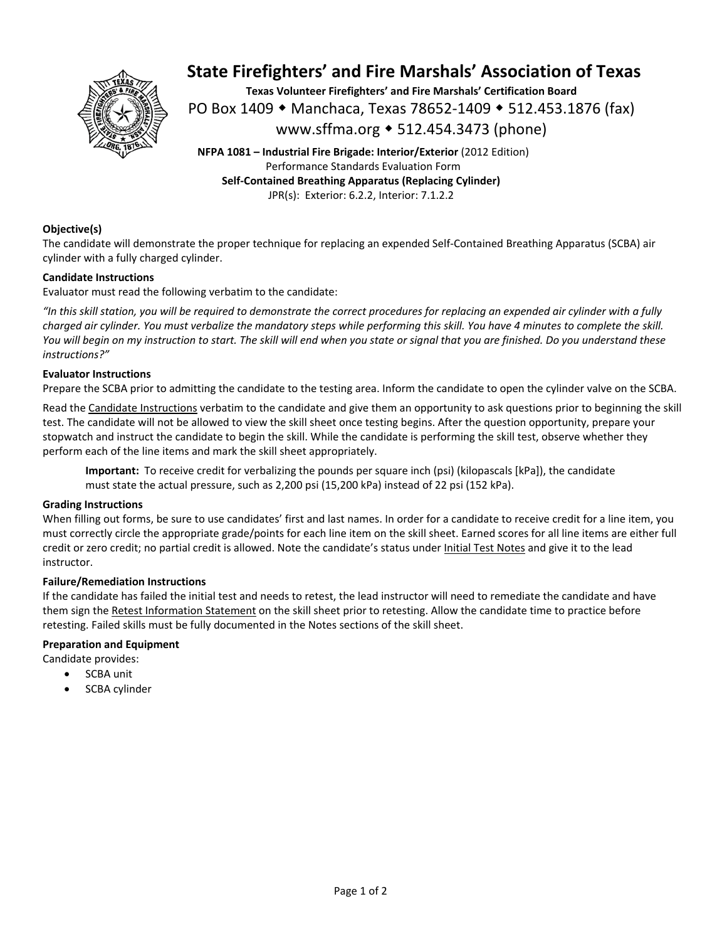

# **State Firefighters' and Fire Marshals' Association of Texas**

**Texas Volunteer Firefighters' and Fire Marshals' Certification Board**  PO Box 1409 ◆ Manchaca, Texas 78652-1409 ◆ 512.453.1876 (fax) www.sffma.org 512.454.3473 (phone)

**NFPA 1081 – Industrial Fire Brigade: Interior/Exterior** (2012 Edition) Performance Standards Evaluation Form **Self‐Contained Breathing Apparatus (Replacing Cylinder)**  JPR(s): Exterior: 6.2.2, Interior: 7.1.2.2

### **Objective(s)**

The candidate will demonstrate the proper technique for replacing an expended Self‐Contained Breathing Apparatus (SCBA) air cylinder with a fully charged cylinder.

### **Candidate Instructions**

Evaluator must read the following verbatim to the candidate:

*"In this skill station, you will be required to demonstrate the correct procedures for replacing an expended air cylinder with a fully charged air cylinder. You must verbalize the mandatory steps while performing this skill. You have 4 minutes to complete the skill. You will begin on my instruction to start. The skill will end when you state or signal that you are finished. Do you understand these instructions?"* 

### **Evaluator Instructions**

Prepare the SCBA prior to admitting the candidate to the testing area. Inform the candidate to open the cylinder valve on the SCBA.

Read the Candidate Instructions verbatim to the candidate and give them an opportunity to ask questions prior to beginning the skill test. The candidate will not be allowed to view the skill sheet once testing begins. After the question opportunity, prepare your stopwatch and instruct the candidate to begin the skill. While the candidate is performing the skill test, observe whether they perform each of the line items and mark the skill sheet appropriately.

**Important:** To receive credit for verbalizing the pounds per square inch (psi) (kilopascals [kPa]), the candidate must state the actual pressure, such as 2,200 psi (15,200 kPa) instead of 22 psi (152 kPa).

### **Grading Instructions**

When filling out forms, be sure to use candidates' first and last names. In order for a candidate to receive credit for a line item, you must correctly circle the appropriate grade/points for each line item on the skill sheet. Earned scores for all line items are either full credit or zero credit; no partial credit is allowed. Note the candidate's status under Initial Test Notes and give it to the lead instructor.

### **Failure/Remediation Instructions**

If the candidate has failed the initial test and needs to retest, the lead instructor will need to remediate the candidate and have them sign the Retest Information Statement on the skill sheet prior to retesting. Allow the candidate time to practice before retesting. Failed skills must be fully documented in the Notes sections of the skill sheet.

### **Preparation and Equipment**

Candidate provides:

- SCBA unit
- SCBA cylinder